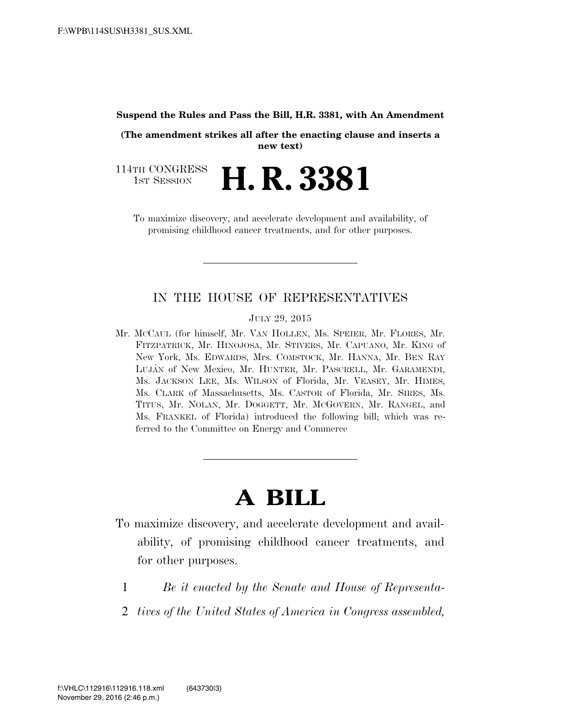#### **Suspend the Rules and Pass the Bill, H.R. 3381, with An Amendment**

**(The amendment strikes all after the enacting clause and inserts a new text)** 

114TH CONGRESS<br>1st Session 1ST SESSION **H. R. 3381**

To maximize discovery, and accelerate development and availability, of promising childhood cancer treatments, and for other purposes.

### IN THE HOUSE OF REPRESENTATIVES

JULY 29, 2015

Mr. MCCAUL (for himself, Mr. VAN HOLLEN, Ms. SPEIER, Mr. FLORES, Mr. FITZPATRICK, Mr. HINOJOSA, Mr. STIVERS, Mr. CAPUANO, Mr. KING of New York, Ms. EDWARDS, Mrs. COMSTOCK, Mr. HANNA, Mr. BEN RAY LUJA´N of New Mexico, Mr. HUNTER, Mr. PASCRELL, Mr. GARAMENDI, Ms. JACKSON LEE, Ms. WILSON of Florida, Mr. VEASEY, Mr. HIMES, Ms. CLARK of Massachusetts, Ms. CASTOR of Florida, Mr. SIRES, Ms. TITUS, Mr. NOLAN, Mr. DOGGETT, Mr. MCGOVERN, Mr. RANGEL, and Ms. FRANKEL of Florida) introduced the following bill; which was referred to the Committee on Energy and Commerce

# **A BILL**

- To maximize discovery, and accelerate development and availability, of promising childhood cancer treatments, and for other purposes.
	- 1 *Be it enacted by the Senate and House of Representa-*
	- 2 *tives of the United States of America in Congress assembled,*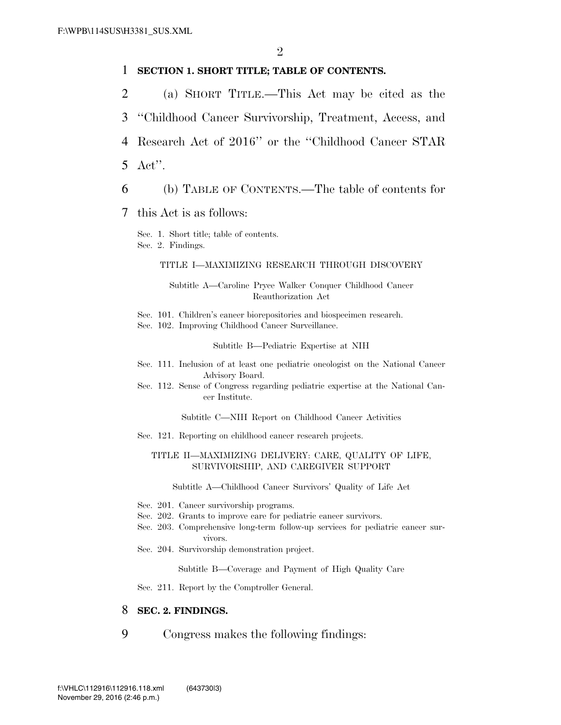#### 1 **SECTION 1. SHORT TITLE; TABLE OF CONTENTS.**

- 2 (a) SHORT TITLE.—This Act may be cited as the
- 3 ''Childhood Cancer Survivorship, Treatment, Access, and
- 4 Research Act of 2016'' or the ''Childhood Cancer STAR

5 Act''.

- 6 (b) TABLE OF CONTENTS.—The table of contents for
- 7 this Act is as follows:

Sec. 1. Short title; table of contents. Sec. 2. Findings.

#### TITLE I—MAXIMIZING RESEARCH THROUGH DISCOVERY

Subtitle A—Caroline Pryce Walker Conquer Childhood Cancer Reauthorization Act

Sec. 101. Children's cancer biorepositories and biospecimen research.

Sec. 102. Improving Childhood Cancer Surveillance.

#### Subtitle B—Pediatric Expertise at NIH

- Sec. 111. Inclusion of at least one pediatric oncologist on the National Cancer Advisory Board.
- Sec. 112. Sense of Congress regarding pediatric expertise at the National Cancer Institute.

Subtitle C—NIH Report on Childhood Cancer Activities

Sec. 121. Reporting on childhood cancer research projects.

#### TITLE II—MAXIMIZING DELIVERY: CARE, QUALITY OF LIFE, SURVIVORSHIP, AND CAREGIVER SUPPORT

Subtitle A—Childhood Cancer Survivors' Quality of Life Act

- Sec. 201. Cancer survivorship programs.
- Sec. 202. Grants to improve care for pediatric cancer survivors.
- Sec. 203. Comprehensive long-term follow-up services for pediatric cancer survivors.
- Sec. 204. Survivorship demonstration project.

Subtitle B—Coverage and Payment of High Quality Care

Sec. 211. Report by the Comptroller General.

### 8 **SEC. 2. FINDINGS.**

9 Congress makes the following findings: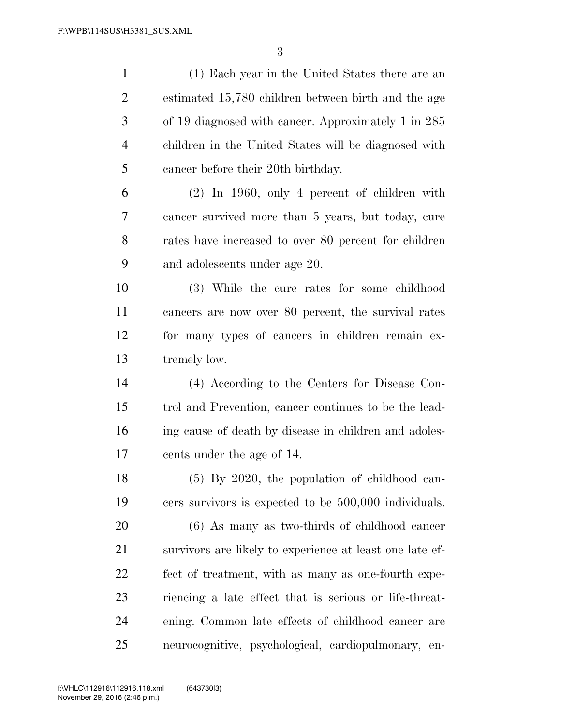(1) Each year in the United States there are an estimated 15,780 children between birth and the age of 19 diagnosed with cancer. Approximately 1 in 285 children in the United States will be diagnosed with cancer before their 20th birthday. (2) In 1960, only 4 percent of children with cancer survived more than 5 years, but today, cure rates have increased to over 80 percent for children and adolescents under age 20. (3) While the cure rates for some childhood cancers are now over 80 percent, the survival rates for many types of cancers in children remain ex- tremely low. (4) According to the Centers for Disease Con- trol and Prevention, cancer continues to be the lead- ing cause of death by disease in children and adoles- cents under the age of 14. (5) By 2020, the population of childhood can- cers survivors is expected to be 500,000 individuals. (6) As many as two-thirds of childhood cancer survivors are likely to experience at least one late ef- fect of treatment, with as many as one-fourth expe- riencing a late effect that is serious or life-threat- ening. Common late effects of childhood cancer are neurocognitive, psychological, cardiopulmonary, en-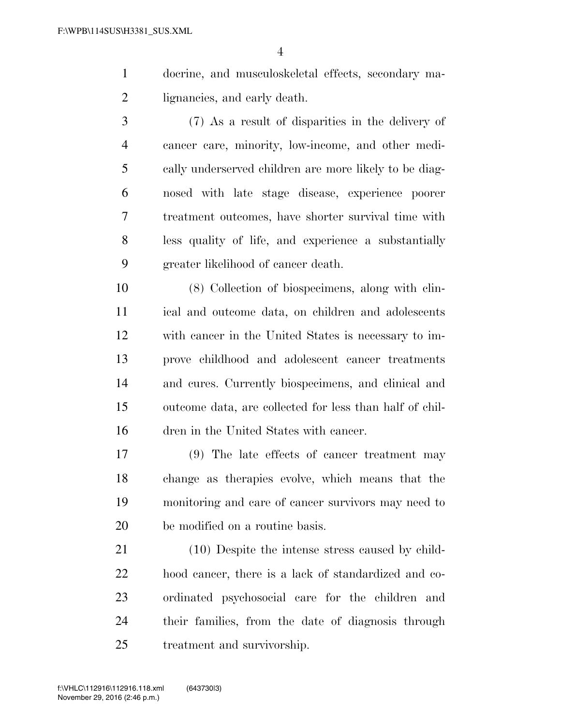- docrine, and musculoskeletal effects, secondary ma-lignancies, and early death.
- (7) As a result of disparities in the delivery of cancer care, minority, low-income, and other medi- cally underserved children are more likely to be diag- nosed with late stage disease, experience poorer treatment outcomes, have shorter survival time with less quality of life, and experience a substantially greater likelihood of cancer death.

 (8) Collection of biospecimens, along with clin- ical and outcome data, on children and adolescents with cancer in the United States is necessary to im- prove childhood and adolescent cancer treatments and cures. Currently biospecimens, and clinical and outcome data, are collected for less than half of chil-dren in the United States with cancer.

 (9) The late effects of cancer treatment may change as therapies evolve, which means that the monitoring and care of cancer survivors may need to be modified on a routine basis.

 (10) Despite the intense stress caused by child- hood cancer, there is a lack of standardized and co- ordinated psychosocial care for the children and their families, from the date of diagnosis through treatment and survivorship.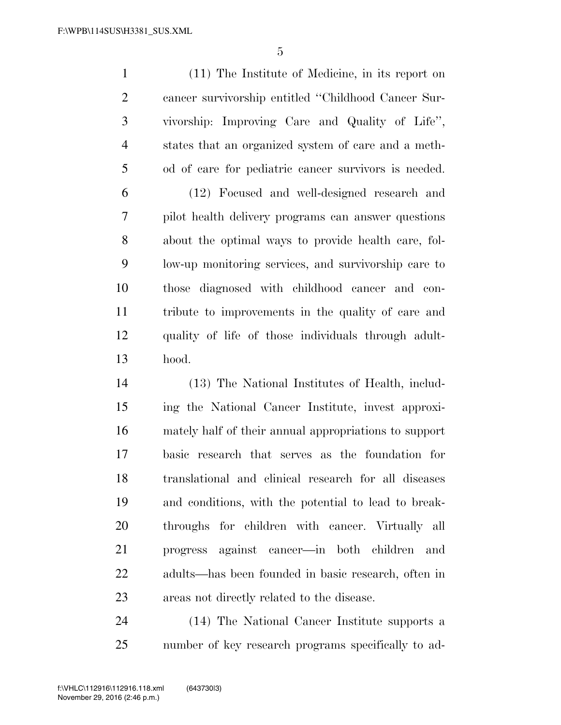(11) The Institute of Medicine, in its report on cancer survivorship entitled ''Childhood Cancer Sur- vivorship: Improving Care and Quality of Life'', states that an organized system of care and a meth-od of care for pediatric cancer survivors is needed.

 (12) Focused and well-designed research and pilot health delivery programs can answer questions about the optimal ways to provide health care, fol- low-up monitoring services, and survivorship care to those diagnosed with childhood cancer and con- tribute to improvements in the quality of care and quality of life of those individuals through adult-hood.

 (13) The National Institutes of Health, includ- ing the National Cancer Institute, invest approxi- mately half of their annual appropriations to support basic research that serves as the foundation for translational and clinical research for all diseases and conditions, with the potential to lead to break- throughs for children with cancer. Virtually all progress against cancer—in both children and adults—has been founded in basic research, often in areas not directly related to the disease.

 (14) The National Cancer Institute supports a number of key research programs specifically to ad-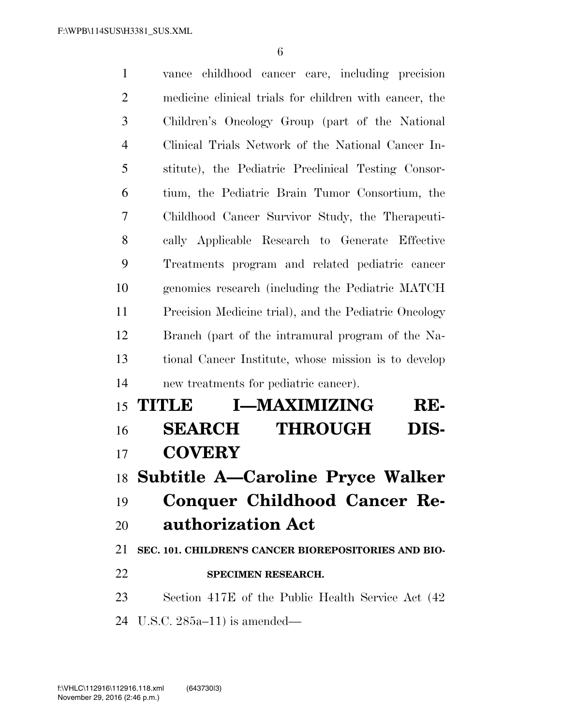vance childhood cancer care, including precision medicine clinical trials for children with cancer, the Children's Oncology Group (part of the National Clinical Trials Network of the National Cancer In- stitute), the Pediatric Preclinical Testing Consor- tium, the Pediatric Brain Tumor Consortium, the Childhood Cancer Survivor Study, the Therapeuti- cally Applicable Research to Generate Effective Treatments program and related pediatric cancer genomics research (including the Pediatric MATCH Precision Medicine trial), and the Pediatric Oncology Branch (part of the intramural program of the Na- tional Cancer Institute, whose mission is to develop new treatments for pediatric cancer). **TITLE I—MAXIMIZING RE- SEARCH THROUGH DIS- COVERY Subtitle A—Caroline Pryce Walker Conquer Childhood Cancer Re- authorization Act SEC. 101. CHILDREN'S CANCER BIOREPOSITORIES AND BIO- SPECIMEN RESEARCH.**  Section 417E of the Public Health Service Act (42 U.S.C. 285a–11) is amended—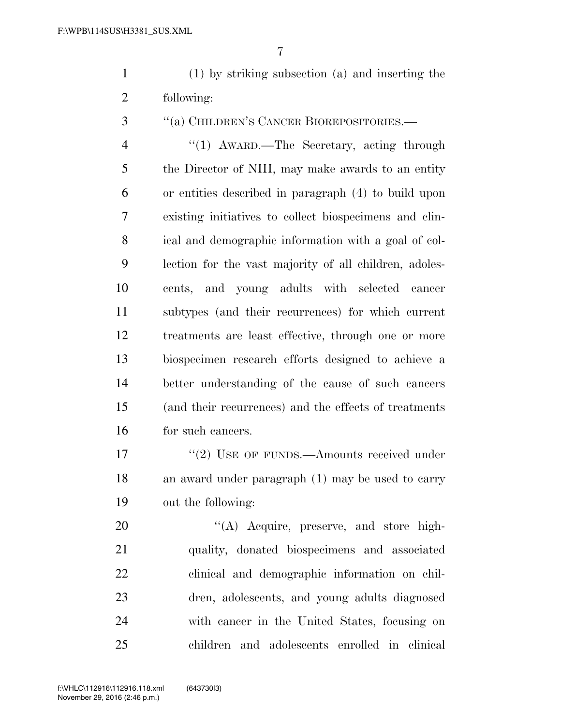(1) by striking subsection (a) and inserting the following:

''(a) CHILDREN'S CANCER BIOREPOSITORIES.—

4 ''(1) AWARD.—The Secretary, acting through the Director of NIH, may make awards to an entity or entities described in paragraph (4) to build upon existing initiatives to collect biospecimens and clin- ical and demographic information with a goal of col- lection for the vast majority of all children, adoles- cents, and young adults with selected cancer subtypes (and their recurrences) for which current treatments are least effective, through one or more biospecimen research efforts designed to achieve a better understanding of the cause of such cancers (and their recurrences) and the effects of treatments for such cancers.

17 ''(2) USE OF FUNDS.—Amounts received under an award under paragraph (1) may be used to carry out the following:

20 "(A) Acquire, preserve, and store high- quality, donated biospecimens and associated clinical and demographic information on chil- dren, adolescents, and young adults diagnosed with cancer in the United States, focusing on children and adolescents enrolled in clinical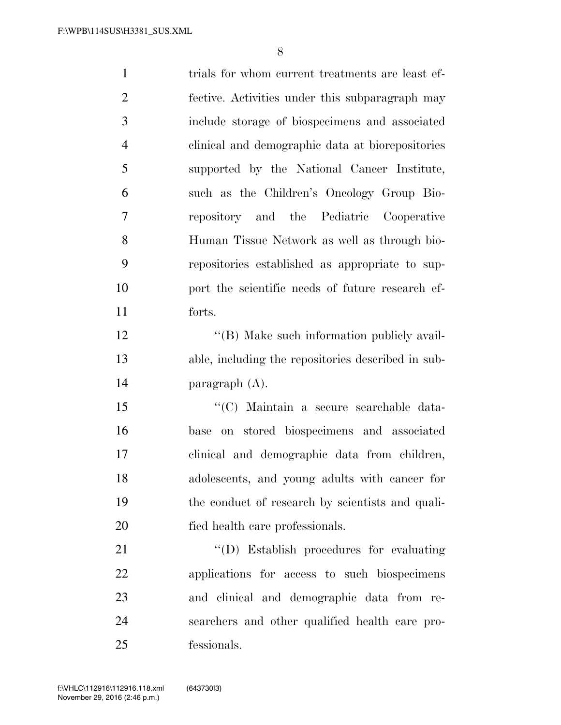| $\mathbf{1}$   | trials for whom current treatments are least ef-   |
|----------------|----------------------------------------------------|
| $\overline{2}$ | fective. Activities under this subparagraph may    |
| 3              | include storage of biospecimens and associated     |
| $\overline{4}$ | clinical and demographic data at biorepositories   |
| 5              | supported by the National Cancer Institute,        |
| 6              | such as the Children's Oncology Group Bio-         |
| 7              | repository and the Pediatric Cooperative           |
| 8              | Human Tissue Network as well as through bio-       |
| 9              | repositories established as appropriate to sup-    |
| 10             | port the scientific needs of future research ef-   |
| 11             | forts.                                             |
| 12             | "(B) Make such information publicly avail-         |
| 13             | able, including the repositories described in sub- |
| 14             | paragraph $(A)$ .                                  |
| 15             | "(C) Maintain a secure searchable data-            |
| 16             | base on stored biospecimens and associated         |
| 17             | clinical and demographic data from children,       |
| 18             | adolescents, and young adults with cancer for      |
| 19             | the conduct of research by scientists and quali-   |
| 20             | fied health care professionals.                    |
| 21             | "(D) Establish procedures for evaluating           |
| 22             | applications for access to such biospecimens       |
| 23             | and clinical and demographic data from re-         |
| 24             | searchers and other qualified health care pro-     |

fessionals.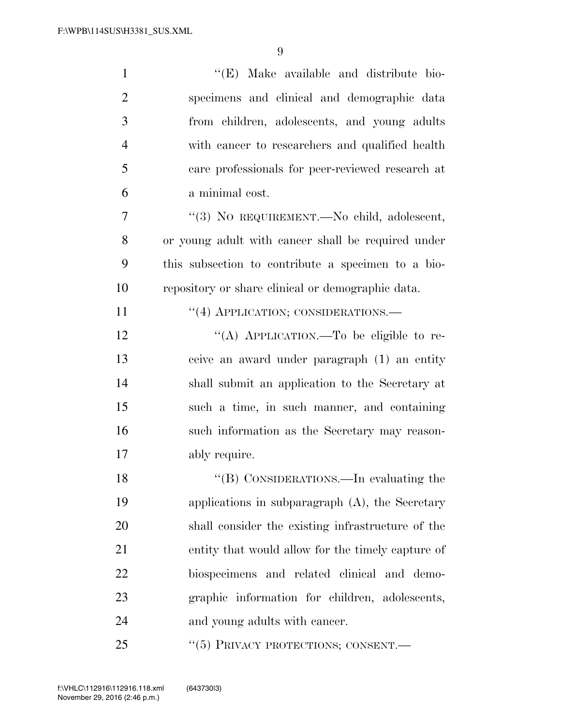| $\mathbf{1}$   | "(E) Make available and distribute bio-            |
|----------------|----------------------------------------------------|
| $\overline{2}$ | specimens and clinical and demographic data        |
| 3              | from children, adolescents, and young adults       |
| $\overline{4}$ | with cancer to researchers and qualified health    |
| 5              | care professionals for peer-reviewed research at   |
| 6              | a minimal cost.                                    |
| $\overline{7}$ | "(3) NO REQUIREMENT. No child, adolescent,         |
| 8              | or young adult with cancer shall be required under |
| 9              | this subsection to contribute a specimen to a bio- |
| 10             | repository or share clinical or demographic data.  |
| 11             | "(4) APPLICATION; CONSIDERATIONS.—                 |
| 12             | "(A) APPLICATION.—To be eligible to re-            |
| 13             | ceive an award under paragraph (1) an entity       |
| 14             | shall submit an application to the Secretary at    |
| 15             | such a time, in such manner, and containing        |
| 16             | such information as the Secretary may reason-      |
| 17             | ably require.                                      |
| 18             | "(B) CONSIDERATIONS.—In evaluating the             |
| 19             | applications in subparagraph $(A)$ , the Secretary |
| 20             | shall consider the existing infrastructure of the  |
| 21             | entity that would allow for the timely capture of  |
| 22             | biospecimens and related clinical and demo-        |
| 23             | graphic information for children, adolescents,     |
| 24             | and young adults with cancer.                      |
| 25             | "(5) PRIVACY PROTECTIONS; CONSENT.—                |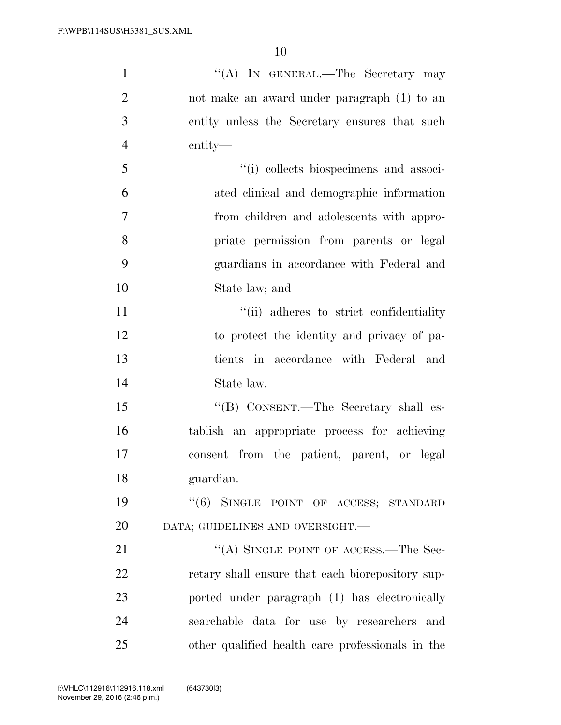| $\mathbf{1}$   | "(A) IN GENERAL.—The Secretary may               |
|----------------|--------------------------------------------------|
| $\overline{2}$ | not make an award under paragraph (1) to an      |
| 3              | entity unless the Secretary ensures that such    |
| $\overline{4}$ | entity—                                          |
| 5              | "(i) collects biospecimens and associ-           |
| 6              | ated clinical and demographic information        |
| $\overline{7}$ | from children and adolescents with appro-        |
| 8              | priate permission from parents or legal          |
| 9              | guardians in accordance with Federal and         |
| 10             | State law; and                                   |
| 11             | "(ii) adheres to strict confidentiality          |
| 12             | to protect the identity and privacy of pa-       |
| 13             | tients in accordance with Federal and            |
| 14             | State law.                                       |
| 15             | "(B) CONSENT.—The Secretary shall es-            |
| 16             | tablish an appropriate process for achieving     |
| 17             | consent from the patient, parent, or legal       |
| 18             | guardian.                                        |
| 19             | "(6) SINGLE POINT OF ACCESS; STANDARD            |
| 20             | DATA; GUIDELINES AND OVERSIGHT.-                 |
| 21             | "(A) SINGLE POINT OF ACCESS.—The Sec-            |
| 22             | retary shall ensure that each biorepository sup- |
| 23             | ported under paragraph (1) has electronically    |
| 24             | searchable data for use by researchers and       |
| 25             | other qualified health care professionals in the |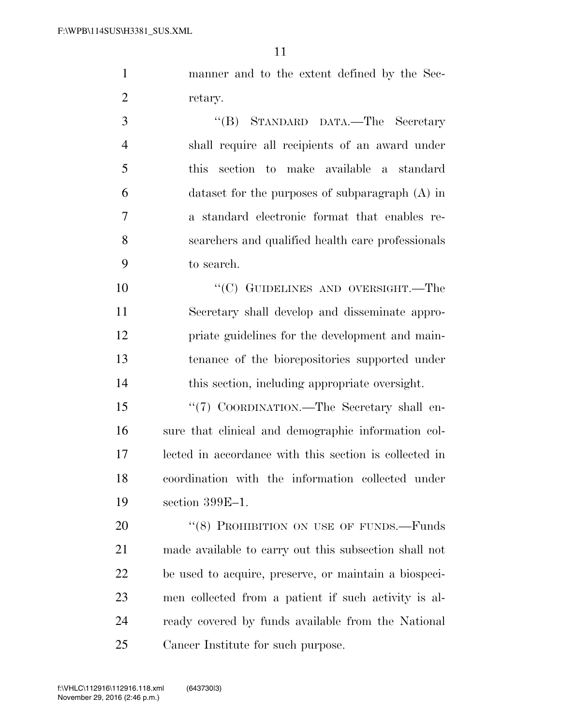manner and to the extent defined by the Sec-retary.

 ''(B) STANDARD DATA.—The Secretary shall require all recipients of an award under this section to make available a standard dataset for the purposes of subparagraph (A) in a standard electronic format that enables re- searchers and qualified health care professionals to search.

10 "'(C) GUIDELINES AND OVERSIGHT.—The Secretary shall develop and disseminate appro- priate guidelines for the development and main- tenance of the biorepositories supported under this section, including appropriate oversight.

15 "(7) COORDINATION.—The Secretary shall en- sure that clinical and demographic information col- lected in accordance with this section is collected in coordination with the information collected under section 399E–1.

20 "(8) PROHIBITION ON USE OF FUNDS.—Funds made available to carry out this subsection shall not be used to acquire, preserve, or maintain a biospeci- men collected from a patient if such activity is al- ready covered by funds available from the National Cancer Institute for such purpose.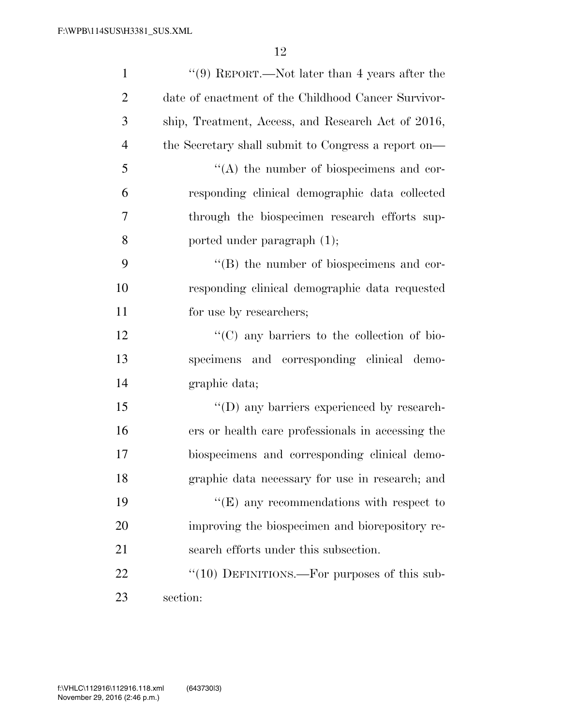| $\mathbf{1}$   | "(9) REPORT.—Not later than 4 years after the       |
|----------------|-----------------------------------------------------|
| $\overline{2}$ | date of enactment of the Childhood Cancer Survivor- |
| 3              | ship, Treatment, Access, and Research Act of 2016,  |
| $\overline{4}$ | the Secretary shall submit to Congress a report on— |
| 5              | $\lq\lq$ the number of biospecimens and cor-        |
| 6              | responding clinical demographic data collected      |
| 7              | through the biospecimen research efforts sup-       |
| 8              | ported under paragraph (1);                         |
| 9              | $\lq\lq (B)$ the number of biospecimens and cor-    |
| 10             | responding clinical demographic data requested      |
| 11             | for use by researchers;                             |
| 12             | "(C) any barriers to the collection of bio-         |
| 13             | specimens and corresponding clinical demo-          |
| 14             | graphic data;                                       |
| 15             | "(D) any barriers experienced by research-          |
| 16             | ers or health care professionals in accessing the   |
| 17             | biospecimens and corresponding clinical demo-       |
| 18             | graphic data necessary for use in research; and     |
| 19             | $\lq\lq(E)$ any recommendations with respect to     |
| 20             | improving the biospecimen and biorepository re-     |
| 21             | search efforts under this subsection.               |
| 22             | " $(10)$ DEFINITIONS.—For purposes of this sub-     |
| 23             | section:                                            |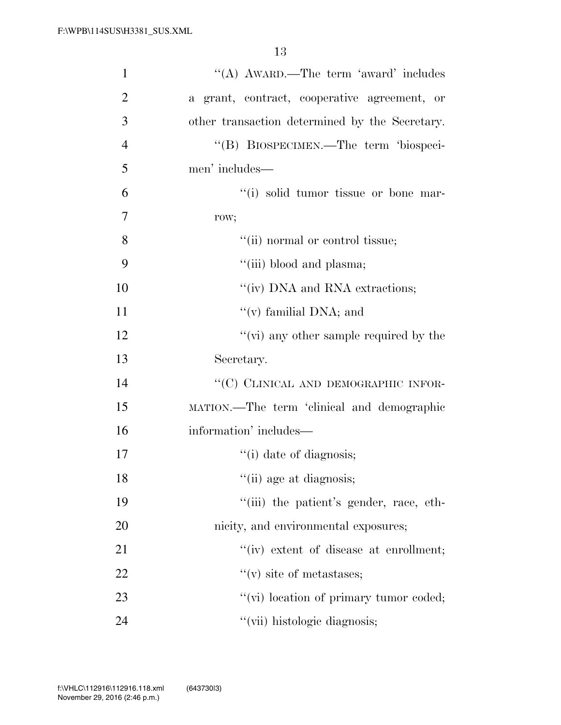| $\mathbf{1}$   | "(A) AWARD.—The term 'award' includes          |
|----------------|------------------------------------------------|
| $\overline{2}$ | a grant, contract, cooperative agreement, or   |
| 3              | other transaction determined by the Secretary. |
| $\overline{4}$ | "(B) BIOSPECIMEN.—The term 'biospeci-          |
| 5              | men' includes—                                 |
| 6              | "(i) solid tumor tissue or bone mar-           |
| 7              | row;                                           |
| 8              | "(ii) normal or control tissue;                |
| 9              | "(iii) blood and plasma;                       |
| 10             | "(iv) DNA and RNA extractions;                 |
| 11             | "(v) familial DNA; and                         |
| 12             | "(vi) any other sample required by the         |
| 13             | Secretary.                                     |
| 14             | "(C) CLINICAL AND DEMOGRAPHIC INFOR-           |
| 15             |                                                |
|                | MATION.—The term 'clinical and demographic     |
| 16             | information' includes—                         |
| 17             | "(i) date of diagnosis;                        |
| 18             | $\lq\lq$ (ii) age at diagnosis;                |
| 19             | "(iii) the patient's gender, race, eth-        |
| 20             | nicity, and environmental exposures;           |
| 21             | "(iv) extent of disease at enrollment;         |
| 22             | $f'(v)$ site of metastases;                    |
| 23             | "(vi) location of primary tumor coded;         |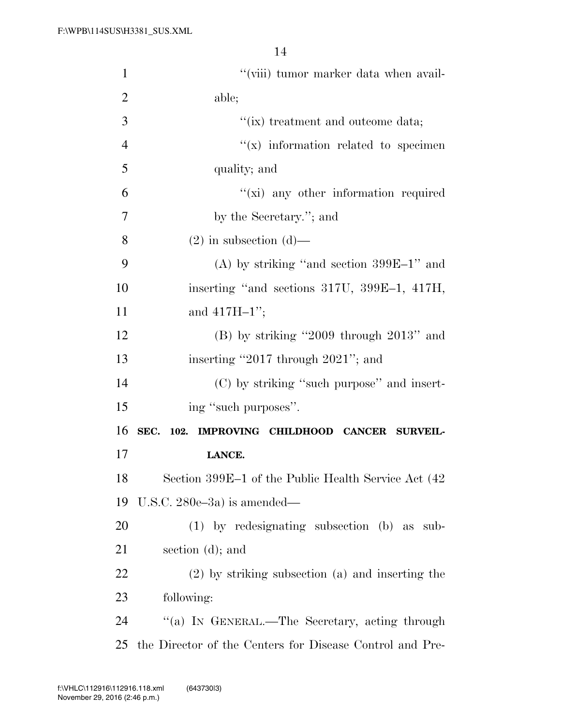| $\mathbf{1}$   | "(viii) tumor marker data when avail-                    |
|----------------|----------------------------------------------------------|
| $\overline{2}$ | able;                                                    |
| 3              | "(ix) treatment and outcome data;                        |
| $\overline{4}$ | $f(x)$ information related to specimen                   |
| 5              | quality; and                                             |
| 6              | "(xi) any other information required                     |
| 7              | by the Secretary."; and                                  |
| 8              | $(2)$ in subsection $(d)$ —                              |
| 9              | (A) by striking "and section $399E-1$ " and              |
| 10             | inserting "and sections 317U, 399E-1, 417H,              |
| 11             | and $417H-1$ ";                                          |
| 12             | $(B)$ by striking "2009 through 2013" and                |
| 13             | inserting "2017 through 2021"; and                       |
| 14             | (C) by striking "such purpose" and insert-               |
| 15             | ing "such purposes".                                     |
| 16             | SEC. 102. IMPROVING CHILDHOOD CANCER SURVEIL-            |
| 17             | LANCE.                                                   |
| 18             | Section 399E-1 of the Public Health Service Act (42      |
| 19             | U.S.C. $280e-3a$ is amended—                             |
| 20             | $(1)$ by redesignating subsection (b) as sub-            |
| 21             | section $(d)$ ; and                                      |
| 22             | (2) by striking subsection (a) and inserting the         |
| 23             | following:                                               |
| 24             | "(a) IN GENERAL.—The Secretary, acting through           |
| 25             | the Director of the Centers for Disease Control and Pre- |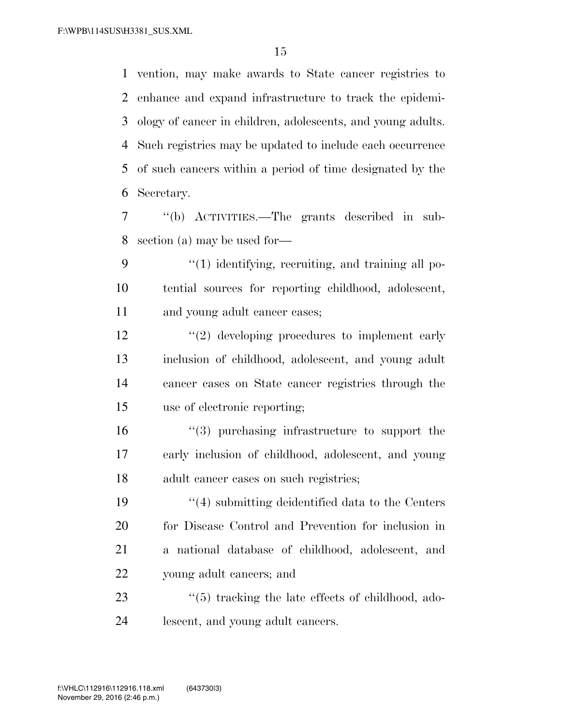vention, may make awards to State cancer registries to enhance and expand infrastructure to track the epidemi- ology of cancer in children, adolescents, and young adults. Such registries may be updated to include each occurrence of such cancers within a period of time designated by the Secretary.

 ''(b) ACTIVITIES.—The grants described in sub-section (a) may be used for—

9 "(1) identifying, recruiting, and training all po- tential sources for reporting childhood, adolescent, and young adult cancer cases;

 $\frac{12}{2}$  developing procedures to implement early inclusion of childhood, adolescent, and young adult cancer cases on State cancer registries through the use of electronic reporting;

 ''(3) purchasing infrastructure to support the early inclusion of childhood, adolescent, and young adult cancer cases on such registries;

 ''(4) submitting deidentified data to the Centers for Disease Control and Prevention for inclusion in a national database of childhood, adolescent, and young adult cancers; and

23 ''(5) tracking the late effects of childhood, ado-lescent, and young adult cancers.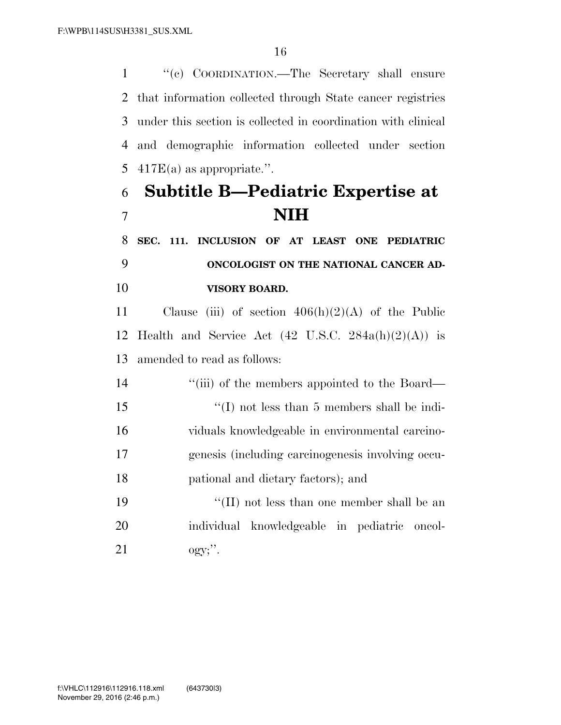''(c) COORDINATION.—The Secretary shall ensure that information collected through State cancer registries under this section is collected in coordination with clinical and demographic information collected under section  $417E(a)$  as appropriate.".

# **Subtitle B—Pediatric Expertise at NIH**

 **SEC. 111. INCLUSION OF AT LEAST ONE PEDIATRIC ONCOLOGIST ON THE NATIONAL CANCER AD-VISORY BOARD.** 

11 Clause (iii) of section  $406(h)(2)(A)$  of the Public 12 Health and Service Act  $(42 \text{ U.S.C. } 284a(h)(2)(A))$  is amended to read as follows:

14 ''(iii) of the members appointed to the Board— ''(I) not less than 5 members shall be indi- viduals knowledgeable in environmental carcino- genesis (including carcinogenesis involving occu-pational and dietary factors); and

19 ''(II) not less than one member shall be an individual knowledgeable in pediatric oncol-ogy;''.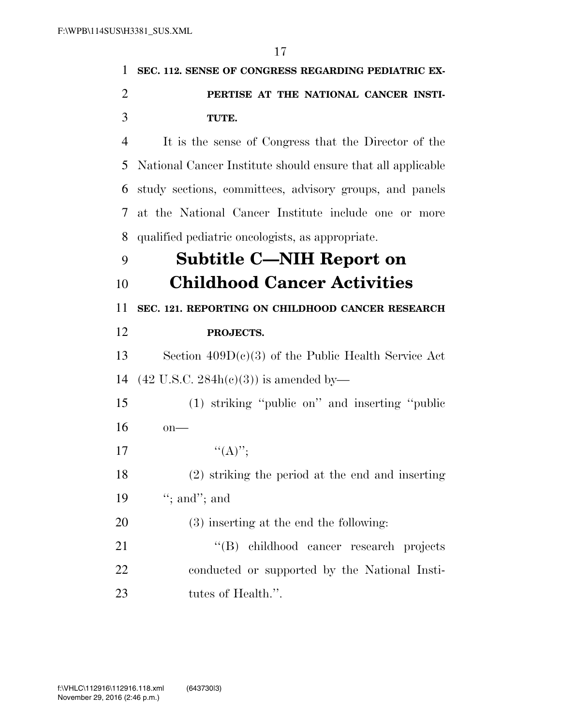| 1              | SEC. 112. SENSE OF CONGRESS REGARDING PEDIATRIC EX-         |
|----------------|-------------------------------------------------------------|
| $\overline{2}$ | PERTISE AT THE NATIONAL CANCER INSTI-                       |
| 3              | TUTE.                                                       |
| $\overline{4}$ | It is the sense of Congress that the Director of the        |
| 5              | National Cancer Institute should ensure that all applicable |
| 6              | study sections, committees, advisory groups, and panels     |
| 7              | at the National Cancer Institute include one or more        |
| 8              | qualified pediatric oncologists, as appropriate.            |
| 9              | Subtitle C—NIH Report on                                    |
| 10             | <b>Childhood Cancer Activities</b>                          |
| 11             | SEC. 121. REPORTING ON CHILDHOOD CANCER RESEARCH            |
| 12             | PROJECTS.                                                   |
| 13             | Section $409D(c)(3)$ of the Public Health Service Act       |
| 14             | $(42 \text{ U.S.C. } 284h(c)(3))$ is amended by—            |
| 15             | (1) striking "public on" and inserting "public              |
| 16             | $on$ —                                                      |
| 17             | $``(A)''$ ;                                                 |
| 18             | (2) striking the period at the end and inserting            |
| 19             | "; and"; and                                                |
| 20             | (3) inserting at the end the following:                     |
| 21             | childhood cancer research projects<br>$\lq\lq (B)$          |
| 22             | conducted or supported by the National Insti-               |
| 23             | tutes of Health.".                                          |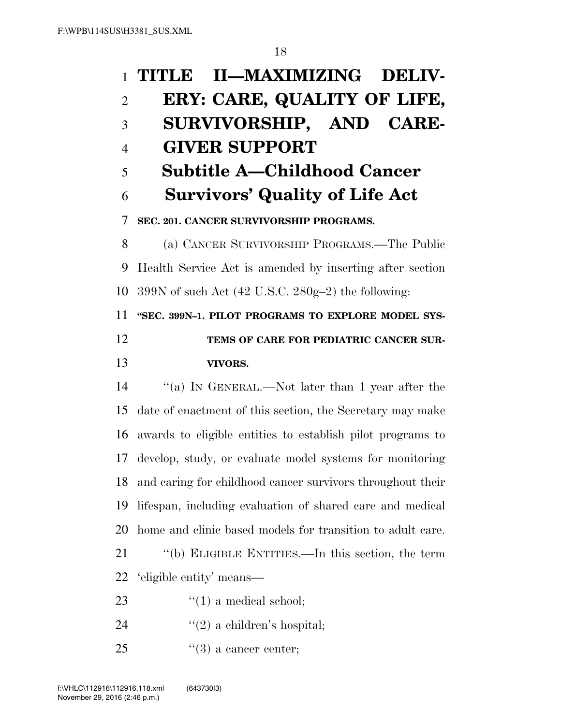| $\mathbf{1}$   | II-MAXIMIZING DELIV-<br>TITLE                                 |
|----------------|---------------------------------------------------------------|
| $\overline{2}$ | ERY: CARE, QUALITY OF LIFE,                                   |
| 3              | SURVIVORSHIP, AND CARE-                                       |
| $\overline{4}$ | <b>GIVER SUPPORT</b>                                          |
| 5              | <b>Subtitle A–Childhood Cancer</b>                            |
| 6              | <b>Survivors' Quality of Life Act</b>                         |
| 7              | SEC. 201. CANCER SURVIVORSHIP PROGRAMS.                       |
| 8              | (a) CANCER SURVIVORSHIP PROGRAMS.—The Public                  |
| 9              | Health Service Act is amended by inserting after section      |
| 10             | 399N of such Act $(42 \text{ U.S.C. } 280g-2)$ the following: |
| 11             | "SEC. 399N-1. PILOT PROGRAMS TO EXPLORE MODEL SYS-            |
| 12             | TEMS OF CARE FOR PEDIATRIC CANCER SUR-                        |
| 13             | VIVORS.                                                       |
| 14             | "(a) IN GENERAL.—Not later than 1 year after the              |
| 15             | date of enactment of this section, the Secretary may make     |
| 16             | awards to eligible entities to establish pilot programs to    |
| 17             | develop, study, or evaluate model systems for monitoring      |
| 18             | and caring for childhood cancer survivors throughout their    |
| 19             | lifespan, including evaluation of shared care and medical     |
| 20             | home and clinic based models for transition to adult care.    |
| 21             | "(b) ELIGIBLE ENTITIES.—In this section, the term             |
| 22             | 'eligible entity' means—                                      |
| 23             | $f'(1)$ a medical school;                                     |
|                |                                                               |

- 24  $"(2)$  a children's hospital;
- 25  $(3)$  a cancer center;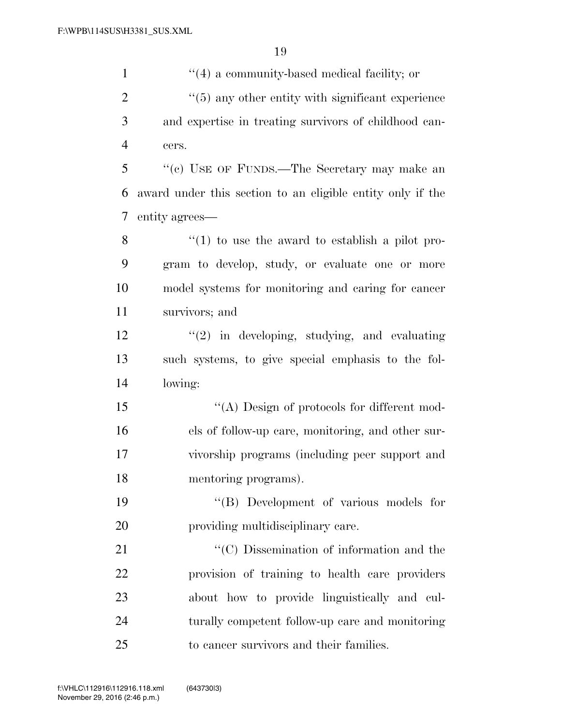| $\mathbf{1}$   | $\lq(4)$ a community-based medical facility; or               |
|----------------|---------------------------------------------------------------|
| $\overline{2}$ | $\cdot\cdot$ (5) any other entity with significant experience |
| 3              | and expertise in treating survivors of childhood can-         |
| $\overline{4}$ | cers.                                                         |
| 5              | "(c) USE OF FUNDS.—The Secretary may make an                  |
| 6              | award under this section to an eligible entity only if the    |
| 7              | entity agrees—                                                |
| 8              | $f(1)$ to use the award to establish a pilot pro-             |
| 9              | gram to develop, study, or evaluate one or more               |
| 10             | model systems for monitoring and caring for cancer            |
| 11             | survivors; and                                                |
| 12             | $\lq(2)$ in developing, studying, and evaluating              |
| 13             | such systems, to give special emphasis to the fol-            |
| 14             | lowing:                                                       |
| 15             | "(A) Design of protocols for different mod-                   |
| 16             | els of follow-up care, monitoring, and other sur-             |
| 17             | vivorship programs (including peer support and                |
| 18             | mentoring programs).                                          |
| 19             | "(B) Development of various models for                        |
| 20             | providing multidisciplinary care.                             |
| 21             | "(C) Dissemination of information and the                     |
| 22             | provision of training to health care providers                |
| 23             | about how to provide linguistically and cul-                  |
| 24             | turally competent follow-up care and monitoring               |
| 25             | to cancer survivors and their families.                       |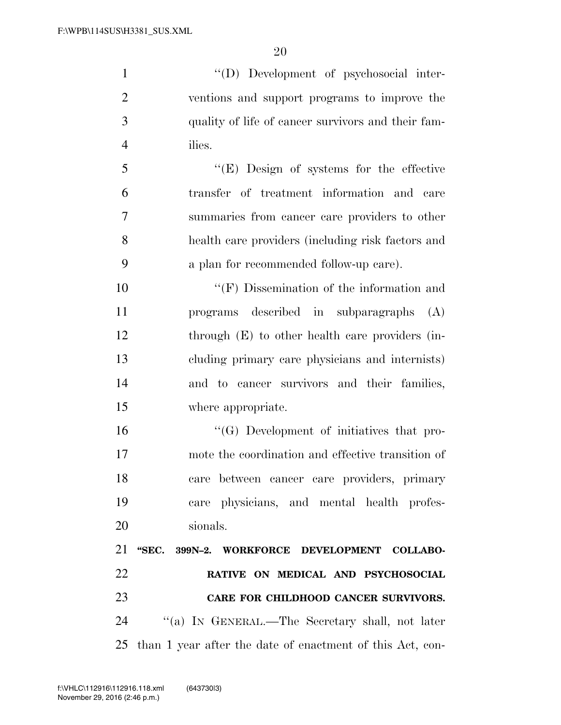''(D) Development of psychosocial inter- ventions and support programs to improve the quality of life of cancer survivors and their fam-ilies.

 ''(E) Design of systems for the effective transfer of treatment information and care summaries from cancer care providers to other health care providers (including risk factors and a plan for recommended follow-up care).

 ''(F) Dissemination of the information and programs described in subparagraphs (A) through (E) to other health care providers (in- cluding primary care physicians and internists) and to cancer survivors and their families, where appropriate.

 ''(G) Development of initiatives that pro- mote the coordination and effective transition of care between cancer care providers, primary care physicians, and mental health profes-sionals.

 **''SEC. 399N–2. WORKFORCE DEVELOPMENT COLLABO- RATIVE ON MEDICAL AND PSYCHOSOCIAL CARE FOR CHILDHOOD CANCER SURVIVORS.**  ''(a) IN GENERAL.—The Secretary shall, not later than 1 year after the date of enactment of this Act, con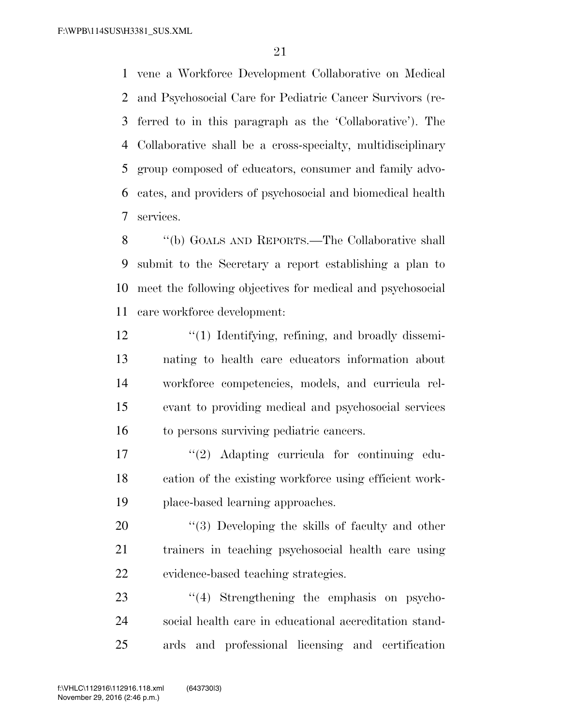vene a Workforce Development Collaborative on Medical and Psychosocial Care for Pediatric Cancer Survivors (re- ferred to in this paragraph as the 'Collaborative'). The Collaborative shall be a cross-specialty, multidisciplinary group composed of educators, consumer and family advo- cates, and providers of psychosocial and biomedical health services.

 ''(b) GOALS AND REPORTS.—The Collaborative shall submit to the Secretary a report establishing a plan to meet the following objectives for medical and psychosocial care workforce development:

12 ''(1) Identifying, refining, and broadly dissemi- nating to health care educators information about workforce competencies, models, and curricula rel- evant to providing medical and psychosocial services to persons surviving pediatric cancers.

17  $\frac{1}{2}$  Adapting curricula for continuing edu- cation of the existing workforce using efficient work-place-based learning approaches.

20  $\frac{1}{2}$  (3) Developing the skills of faculty and other trainers in teaching psychosocial health care using evidence-based teaching strategies.

23  $\frac{1}{4}$  Strengthening the emphasis on psycho- social health care in educational accreditation stand-ards and professional licensing and certification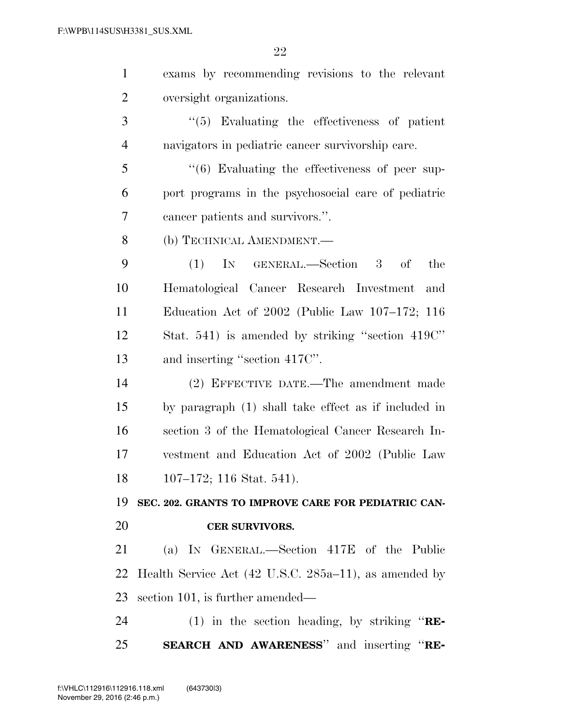| $\mathbf{1}$   | exams by recommending revisions to the relevant            |
|----------------|------------------------------------------------------------|
| $\overline{2}$ | oversight organizations.                                   |
| 3              | $\lq(5)$ Evaluating the effectiveness of patient           |
| $\overline{4}$ | navigators in pediatric cancer survivorship care.          |
| 5              | $\cdot\cdot$ (6) Evaluating the effectiveness of peer sup- |
| 6              | port programs in the psychosocial care of pediatric        |
| 7              | cancer patients and survivors.".                           |
| 8              | (b) TECHNICAL AMENDMENT.—                                  |
| 9              | IN GENERAL.-Section 3<br>(1)<br>of<br>the                  |
| 10             | Hematological Cancer Research Investment<br>and            |
| 11             | Education Act of $2002$ (Public Law $107-172$ ; 116        |
| 12             | Stat. 541) is amended by striking "section 419C"           |
| 13             | and inserting "section 417C".                              |
| 14             | (2) EFFECTIVE DATE.—The amendment made                     |
| 15             | by paragraph (1) shall take effect as if included in       |
| 16             | section 3 of the Hematological Cancer Research In-         |
| 17             | vestment and Education Act of 2002 (Public Law             |
| 18             | $107-172$ ; 116 Stat. 541).                                |
| 19             | SEC. 202. GRANTS TO IMPROVE CARE FOR PEDIATRIC CAN-        |
| 20             | <b>CER SURVIVORS.</b>                                      |
| 21             | (a) IN GENERAL.—Section 417E of the Public                 |
| 22             | Health Service Act (42 U.S.C. 285a–11), as amended by      |
| 23             | section 101, is further amended—                           |
| 24             | (1) in the section heading, by striking " $RE$ -           |
| 25             |                                                            |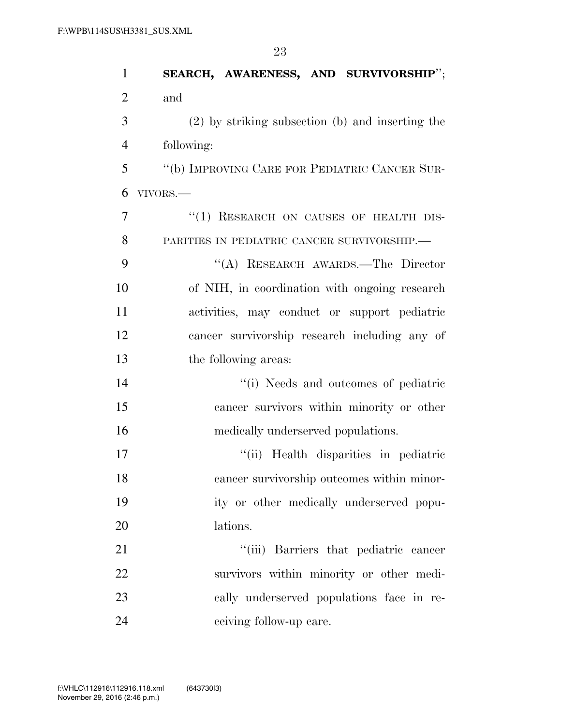| $\mathbf{1}$   | SEARCH, AWARENESS, AND SURVIVORSHIP";            |
|----------------|--------------------------------------------------|
| $\overline{2}$ | and                                              |
| 3              | (2) by striking subsection (b) and inserting the |
| $\overline{4}$ | following:                                       |
| 5              | "(b) IMPROVING CARE FOR PEDIATRIC CANCER SUR-    |
| 6              | VIVORS.-                                         |
| 7              | "(1) RESEARCH ON CAUSES OF HEALTH DIS-           |
| 8              | PARITIES IN PEDIATRIC CANCER SURVIVORSHIP.       |
| 9              | "(A) RESEARCH AWARDS.—The Director               |
| 10             | of NIH, in coordination with ongoing research    |
| 11             | activities, may conduct or support pediatric     |
| 12             | cancer survivorship research including any of    |
| 13             | the following areas:                             |
| 14             | "(i) Needs and outcomes of pediatric             |
| 15             | cancer survivors within minority or other        |
| 16             | medically underserved populations.               |
| 17             | "(ii) Health disparities in pediatric            |
| 18             | cancer survivorship outcomes within minor-       |
| 19             | ity or other medically underserved popu-         |
| 20             | lations.                                         |
| 21             | "(iii) Barriers that pediatric cancer            |
| 22             | survivors within minority or other medi-         |
| 23             | cally underserved populations face in re-        |
| 24             | ceiving follow-up care.                          |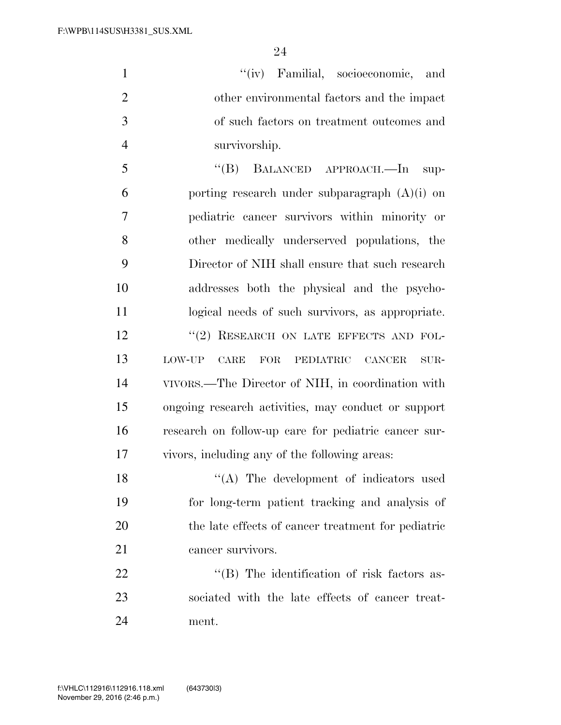1 ''(iv) Familial, socioeconomic, and other environmental factors and the impact of such factors on treatment outcomes and survivorship.

 ''(B) BALANCED APPROACH.—In sup-6 porting research under subparagraph  $(A)(i)$  on pediatric cancer survivors within minority or other medically underserved populations, the Director of NIH shall ensure that such research addresses both the physical and the psycho- logical needs of such survivors, as appropriate. 12 "(2) RESEARCH ON LATE EFFECTS AND FOL- LOW-UP CARE FOR PEDIATRIC CANCER SUR- VIVORS.—The Director of NIH, in coordination with ongoing research activities, may conduct or support research on follow-up care for pediatric cancer sur-vivors, including any of the following areas:

18 "(A) The development of indicators used for long-term patient tracking and analysis of the late effects of cancer treatment for pediatric cancer survivors.

22 "'(B) The identification of risk factors as- sociated with the late effects of cancer treat-ment.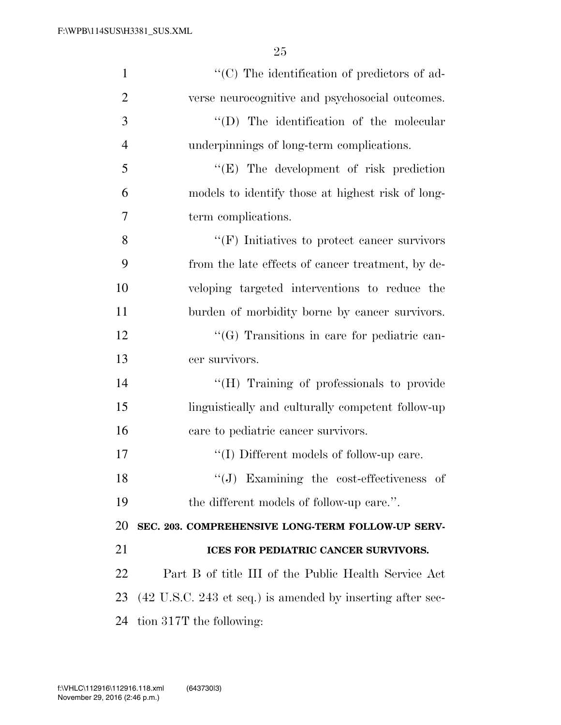| $\mathbf{1}$   | "(C) The identification of predictors of ad-                                  |
|----------------|-------------------------------------------------------------------------------|
| $\overline{2}$ | verse neurocognitive and psychosocial outcomes.                               |
| 3              | "(D) The identification of the molecular                                      |
| $\overline{4}$ | underpinnings of long-term complications.                                     |
| 5              | "(E) The development of risk prediction                                       |
| 6              | models to identify those at highest risk of long-                             |
| 7              | term complications.                                                           |
| 8              | $``$ (F) Initiatives to protect cancer survivors                              |
| 9              | from the late effects of cancer treatment, by de-                             |
| 10             | veloping targeted interventions to reduce the                                 |
| 11             | burden of morbidity borne by cancer survivors.                                |
| 12             | "(G) Transitions in care for pediatric can-                                   |
| 13             | cer survivors.                                                                |
| 14             | "(H) Training of professionals to provide                                     |
| 15             | linguistically and culturally competent follow-up                             |
| 16             | care to pediatric cancer survivors.                                           |
| 17             | "(I) Different models of follow-up care.                                      |
| 18             | $``(J)$ Examining the cost-effectiveness of                                   |
| 19             | the different models of follow-up care.".                                     |
| 20             | SEC. 203. COMPREHENSIVE LONG-TERM FOLLOW-UP SERV-                             |
| 21             | ICES FOR PEDIATRIC CANCER SURVIVORS.                                          |
| 22             | Part B of title III of the Public Health Service Act                          |
| 23             | $(42 \text{ U.S.C. } 243 \text{ et seq.})$ is amended by inserting after sec- |
| 24             | tion 317T the following:                                                      |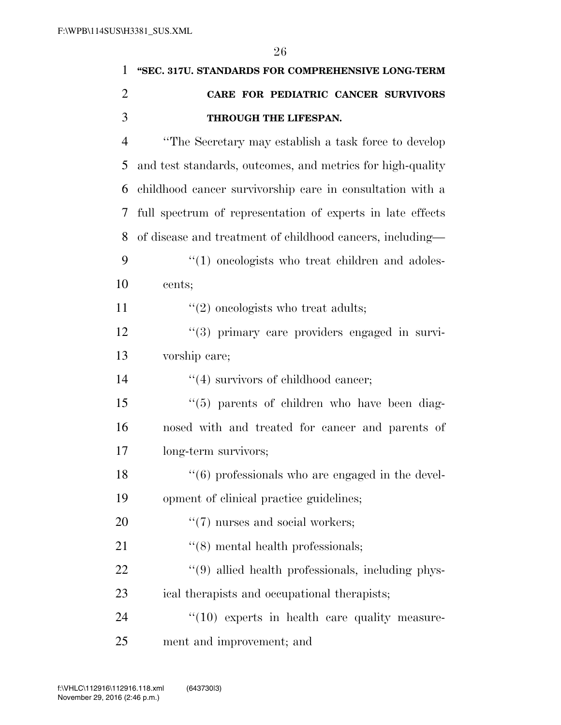| $\mathbf{1}$   | "SEC. 317U. STANDARDS FOR COMPREHENSIVE LONG-TERM                 |
|----------------|-------------------------------------------------------------------|
| $\overline{2}$ | CARE FOR PEDIATRIC CANCER SURVIVORS                               |
| 3              | THROUGH THE LIFESPAN.                                             |
| $\overline{4}$ | "The Secretary may establish a task force to develop              |
| 5              | and test standards, outcomes, and metrics for high-quality        |
| 6              | childhood cancer survivorship care in consultation with a         |
| 7              | full spectrum of representation of experts in late effects        |
| 8              | of disease and treatment of childhood cancers, including—         |
| 9              | $\lq(1)$ one ologists who treat children and adoles-              |
| 10             | cents;                                                            |
| 11             | $\lq(2)$ oneologists who treat adults;                            |
| 12             | $\lq(3)$ primary care providers engaged in survi-                 |
| 13             | vorship care;                                                     |
| 14             | $\lq(4)$ survivors of childhood cancer;                           |
| 15             | "(5) parents of children who have been diag-                      |
| 16             | nosed with and treated for cancer and parents of                  |
| 17             | long-term survivors;                                              |
| 18             | $\cdot\cdot\cdot$ (6) professionals who are engaged in the devel- |
| 19             | opment of clinical practice guidelines;                           |
| 20             | $\lq(7)$ nurses and social workers;                               |
| 21             | $\cdot$ (8) mental health professionals;                          |
| 22             | "(9) allied health professionals, including phys-                 |
| 23             | ical therapists and occupational therapists;                      |

24 ''(10) experts in health care quality measure-25 ment and improvement; and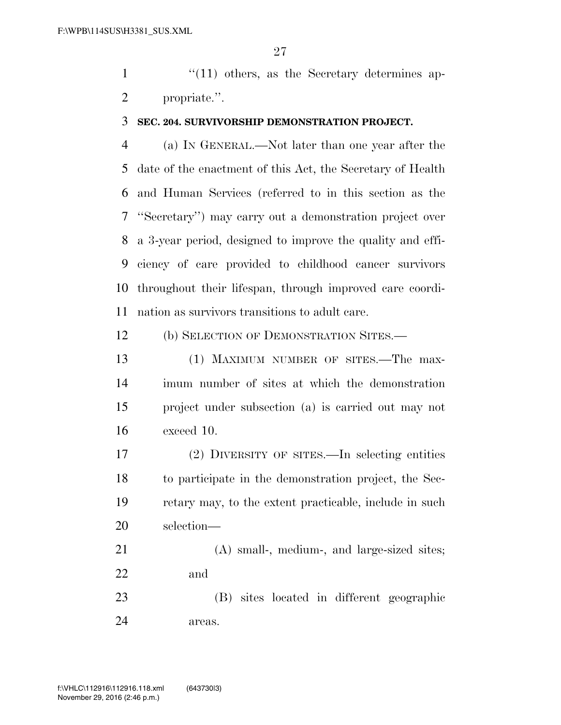1 ''(11) others, as the Secretary determines ap-propriate.''.

#### **SEC. 204. SURVIVORSHIP DEMONSTRATION PROJECT.**

 (a) IN GENERAL.—Not later than one year after the date of the enactment of this Act, the Secretary of Health and Human Services (referred to in this section as the ''Secretary'') may carry out a demonstration project over a 3-year period, designed to improve the quality and effi- ciency of care provided to childhood cancer survivors throughout their lifespan, through improved care coordi-nation as survivors transitions to adult care.

(b) SELECTION OF DEMONSTRATION SITES.—

13 (1) MAXIMUM NUMBER OF SITES.—The max- imum number of sites at which the demonstration project under subsection (a) is carried out may not exceed 10.

 (2) DIVERSITY OF SITES.—In selecting entities to participate in the demonstration project, the Sec- retary may, to the extent practicable, include in such selection—

 (A) small-, medium-, and large-sized sites; and

 (B) sites located in different geographic areas.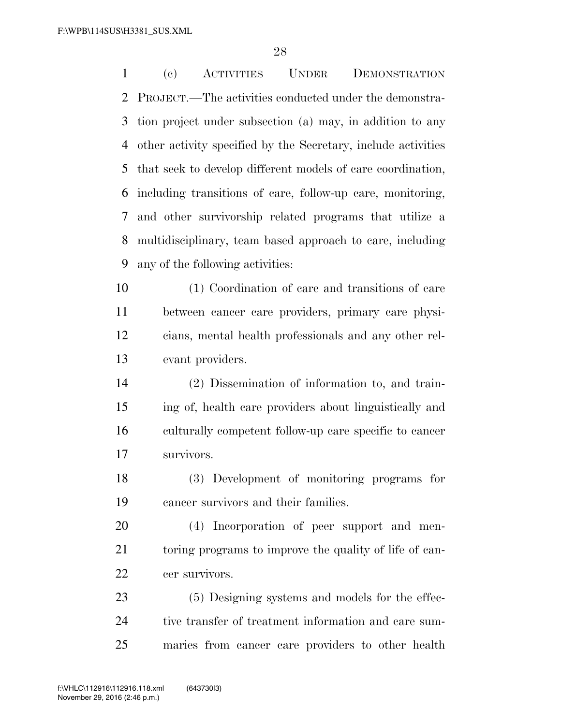(c) ACTIVITIES UNDER DEMONSTRATION PROJECT.—The activities conducted under the demonstra- tion project under subsection (a) may, in addition to any other activity specified by the Secretary, include activities that seek to develop different models of care coordination, including transitions of care, follow-up care, monitoring, and other survivorship related programs that utilize a multidisciplinary, team based approach to care, including any of the following activities: (1) Coordination of care and transitions of care between cancer care providers, primary care physi- cians, mental health professionals and any other rel- evant providers. (2) Dissemination of information to, and train- ing of, health care providers about linguistically and culturally competent follow-up care specific to cancer survivors. (3) Development of monitoring programs for cancer survivors and their families. (4) Incorporation of peer support and men- toring programs to improve the quality of life of can- cer survivors. (5) Designing systems and models for the effec-24 tive transfer of treatment information and care sum-maries from cancer care providers to other health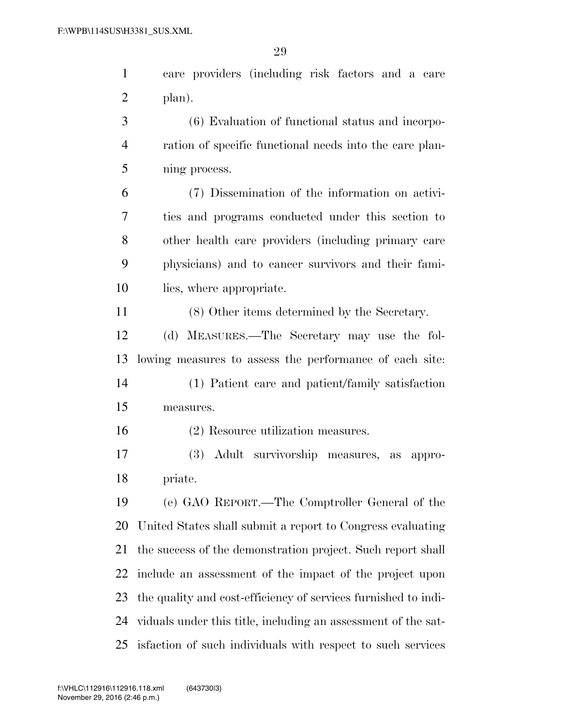care providers (including risk factors and a care plan).

 (6) Evaluation of functional status and incorpo- ration of specific functional needs into the care plan-ning process.

 (7) Dissemination of the information on activi- ties and programs conducted under this section to other health care providers (including primary care physicians) and to cancer survivors and their fami-lies, where appropriate.

(8) Other items determined by the Secretary.

 (d) MEASURES.—The Secretary may use the fol-lowing measures to assess the performance of each site:

 (1) Patient care and patient/family satisfaction measures.

(2) Resource utilization measures.

 (3) Adult survivorship measures, as appro-priate.

 (e) GAO REPORT.—The Comptroller General of the United States shall submit a report to Congress evaluating the success of the demonstration project. Such report shall include an assessment of the impact of the project upon the quality and cost-efficiency of services furnished to indi- viduals under this title, including an assessment of the sat-isfaction of such individuals with respect to such services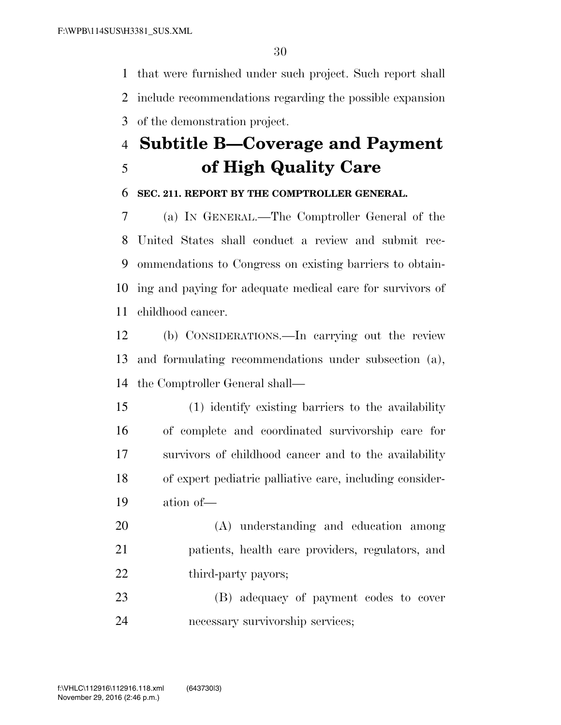that were furnished under such project. Such report shall include recommendations regarding the possible expansion of the demonstration project.

# **Subtitle B—Coverage and Payment of High Quality Care**

## **SEC. 211. REPORT BY THE COMPTROLLER GENERAL.**

 (a) IN GENERAL.—The Comptroller General of the United States shall conduct a review and submit rec- ommendations to Congress on existing barriers to obtain- ing and paying for adequate medical care for survivors of childhood cancer.

 (b) CONSIDERATIONS.—In carrying out the review and formulating recommendations under subsection (a), the Comptroller General shall—

 (1) identify existing barriers to the availability of complete and coordinated survivorship care for survivors of childhood cancer and to the availability of expert pediatric palliative care, including consider-ation of—

 (A) understanding and education among patients, health care providers, regulators, and 22 third-party payors;

 (B) adequacy of payment codes to cover necessary survivorship services;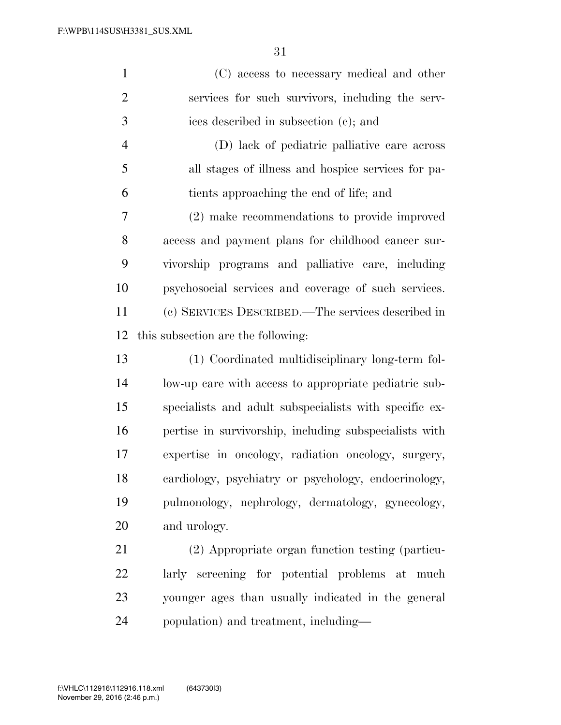| $\mathbf{1}$   | (C) access to necessary medical and other              |
|----------------|--------------------------------------------------------|
| $\overline{2}$ | services for such survivors, including the serv-       |
| 3              | ices described in subsection (c); and                  |
| $\overline{4}$ | (D) lack of pediatric palliative care across           |
| 5              | all stages of illness and hospice services for pa-     |
| 6              | tients approaching the end of life; and                |
| 7              | (2) make recommendations to provide improved           |
| 8              | access and payment plans for childhood cancer sur-     |
| 9              | vivorship programs and palliative care, including      |
| 10             | psychosocial services and coverage of such services.   |
| 11             | (c) SERVICES DESCRIBED.—The services described in      |
| 12             | this subsection are the following:                     |
| 13             | (1) Coordinated multidisciplinary long-term fol-       |
| 14             | low-up care with access to appropriate pediatric sub-  |
| 15             | specialists and adult subspecialists with specific ex- |
| 16             | pertise in survivorship, including subspecialists with |
| 17             | expertise in oncology, radiation oncology, surgery,    |
| 18             | cardiology, psychiatry or psychology, endocrinology,   |
| 19             | pulmonology, nephrology, dermatology, gynecology,      |
| 20             | and urology.                                           |
| 21             | (2) Appropriate organ function testing (particu-       |
| 22             | larly screening for potential problems at much         |
| 23             | younger ages than usually indicated in the general     |
|                |                                                        |